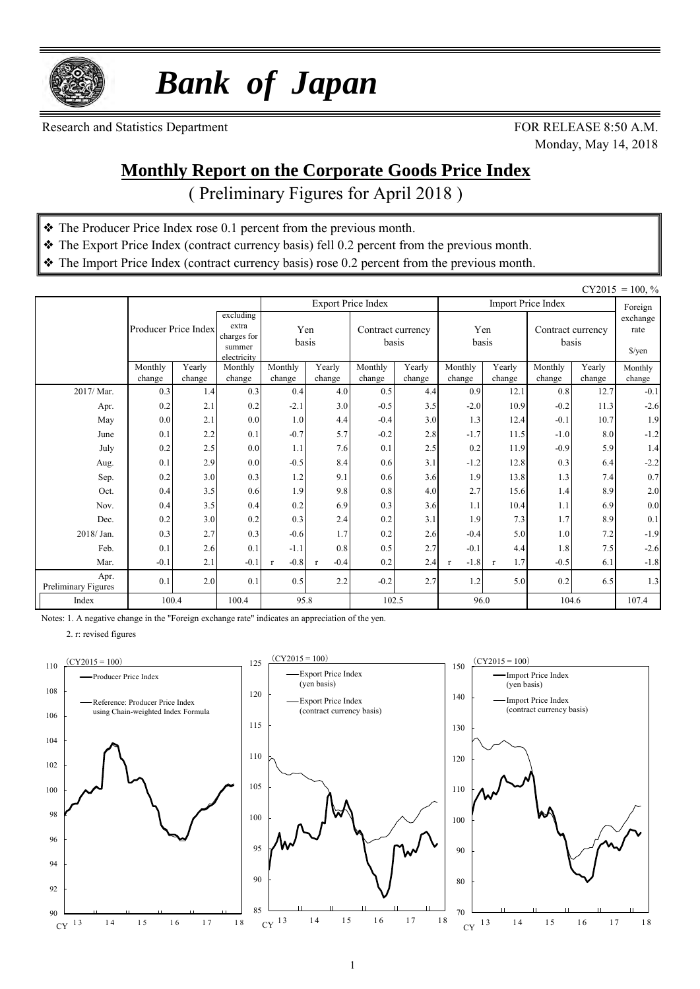

 *Bank of Japan*

Research and Statistics Department FOR RELEASE 8:50 A.M.

Monday, May 14, 2018

#### **Monthly Report on the Corporate Goods Price Index**

( Preliminary Figures for April 2018 )

- ❖ The Producer Price Index rose 0.1 percent from the previous month.
- ❖ The Export Price Index (contract currency basis) fell 0.2 percent from the previous month.
- ❖ The Import Price Index (contract currency basis) rose 0.2 percent from the previous month.

|                             |                      |        |                                                            |              |                        |                           |                            |         |              |                            |        | $CY2015 = 100, \%$                       |
|-----------------------------|----------------------|--------|------------------------------------------------------------|--------------|------------------------|---------------------------|----------------------------|---------|--------------|----------------------------|--------|------------------------------------------|
|                             |                      |        |                                                            |              |                        | <b>Export Price Index</b> |                            |         |              | <b>Import Price Index</b>  |        | Foreign                                  |
|                             | Producer Price Index |        | excluding<br>extra<br>charges for<br>summer<br>electricity | Yen<br>basis |                        |                           | Contract currency<br>basis |         | Yen<br>basis | Contract currency<br>basis |        | exchange<br>rate<br>$\frac{\sqrt{2}}{2}$ |
|                             | Monthly              | Yearly | Monthly                                                    | Monthly      | Yearly                 | Monthly                   | Yearly                     | Monthly | Yearly       | Monthly                    | Yearly | Monthly                                  |
|                             | change               | change | change                                                     | change       | change                 | change                    | change                     | change  | change       | change                     | change | change                                   |
| 2017/Mar.                   | 0.3                  | 1.4    | 0.3                                                        | 0.4          | 4.0                    | 0.5                       | 4.4                        | 0.9     | 12.1         | 0.8                        | 12.7   | $-0.1$                                   |
| Apr.                        | 0.2                  | 2.1    | 0.2                                                        | $-2.1$       | 3.0                    | $-0.5$                    | 3.5                        | $-2.0$  | 10.9         | $-0.2$                     | 11.3   | $-2.6$                                   |
| May                         | 0.0                  | 2.1    | 0.0                                                        | 1.0          | 4.4                    | $-0.4$                    | 3.0                        | 1.3     | 12.4         | $-0.1$                     | 10.7   | 1.9                                      |
| June                        | 0.1                  | 2.2    | 0.1                                                        | $-0.7$       | 5.7                    | $-0.2$                    | 2.8                        | $-1.7$  | 11.5         | $-1.0$                     | 8.0    | $-1.2$                                   |
| July                        | 0.2                  | 2.5    | 0.0                                                        | 1.1          | 7.6                    | 0.1                       | 2.5                        | 0.2     | 11.9         | $-0.9$                     | 5.9    | 1.4                                      |
| Aug.                        | 0.1                  | 2.9    | 0.0                                                        | $-0.5$       | 8.4                    | 0.6                       | 3.1                        | $-1.2$  | 12.8         | 0.3                        | 6.4    | $-2.2$                                   |
| Sep.                        | 0.2                  | 3.0    | 0.3                                                        | 1.2          | 9.1                    | 0.6                       | 3.6                        | 1.9     | 13.8         | 1.3                        | 7.4    | 0.7                                      |
| Oct.                        | 0.4                  | 3.5    | 0.6                                                        | 1.9          | 9.8                    | 0.8                       | 4.0                        | 2.7     | 15.6         | 1.4                        | 8.9    | 2.0                                      |
| Nov.                        | 0.4                  | 3.5    | 0.4                                                        | 0.2          | 6.9                    | 0.3                       | 3.6                        | 1.1     | 10.4         | 1.1                        | 6.9    | $0.0\,$                                  |
| Dec.                        | 0.2                  | 3.0    | 0.2                                                        | 0.3          | 2.4                    | 0.2                       | 3.1                        | 1.9     | 7.3          | 1.7                        | 8.9    | 0.1                                      |
| 2018/Jan.                   | 0.3                  | 2.7    | 0.3                                                        | $-0.6$       | 1.7                    | 0.2                       | 2.6                        | $-0.4$  | 5.0          | 1.0                        | 7.2    | $-1.9$                                   |
| Feb.                        | 0.1                  | 2.6    | 0.1                                                        | $-1.1$       | 0.8                    | 0.5                       | 2.7                        | $-0.1$  | 4.4          | 1.8                        | 7.5    | $-2.6$                                   |
| Mar.                        | $-0.1$               | 2.1    | $-0.1$                                                     | $-0.8$       | $-0.4$<br>$\mathbf{r}$ | 0.2                       | 2.4                        | $-1.8$  | 1.7          | $-0.5$                     | 6.1    | $-1.8$                                   |
| Apr.<br>Preliminary Figures | 0.1                  | 2.0    | 0.1                                                        | 0.5          | 2.2                    | $-0.2$                    | 2.7                        | 1.2     | 5.0          | 0.2                        | 6.5    | 1.3                                      |
| Index                       | 100.4                |        | 100.4                                                      | 95.8         |                        |                           | 102.5                      | 96.0    |              | 104.6                      |        | 107.4                                    |

Notes: 1. A negative change in the "Foreign exchange rate" indicates an appreciation of the yen.

2. r: revised figures

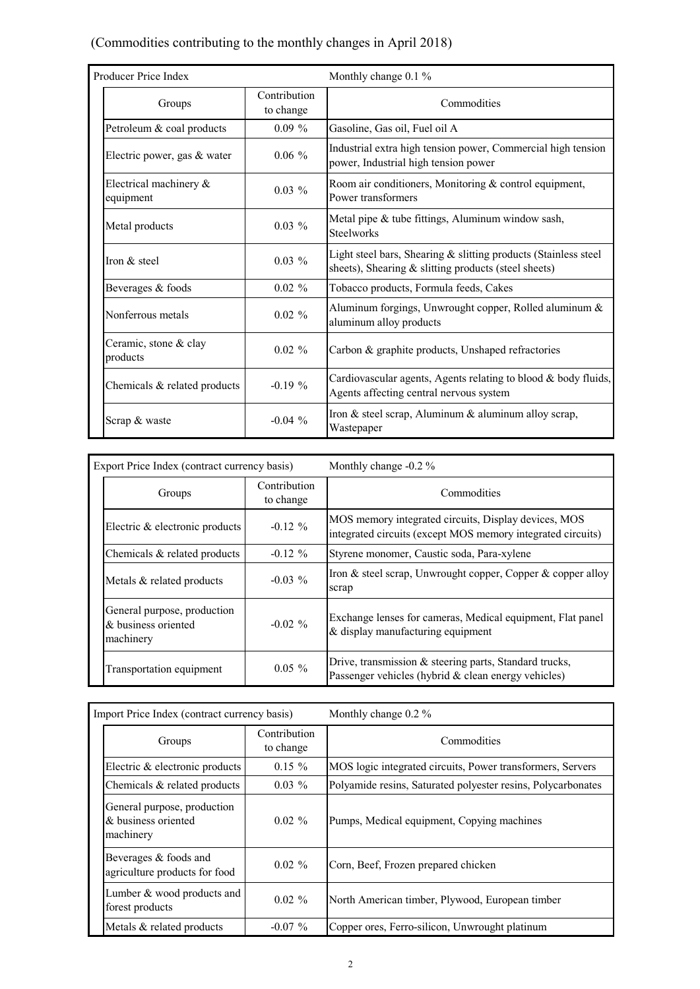#### (Commodities contributing to the monthly changes in April 2018)

| Producer Price Index                |                           | Monthly change 0.1 %                                                                                                       |  |  |  |  |  |
|-------------------------------------|---------------------------|----------------------------------------------------------------------------------------------------------------------------|--|--|--|--|--|
| Groups                              | Contribution<br>to change | Commodities                                                                                                                |  |  |  |  |  |
| Petroleum & coal products           | $0.09\%$                  | Gasoline, Gas oil, Fuel oil A                                                                                              |  |  |  |  |  |
| Electric power, gas & water         | $0.06\%$                  | Industrial extra high tension power, Commercial high tension<br>power, Industrial high tension power                       |  |  |  |  |  |
| Electrical machinery &<br>equipment | $0.03\%$                  | Room air conditioners, Monitoring & control equipment,<br>Power transformers                                               |  |  |  |  |  |
| Metal products                      | $0.03\%$                  | Metal pipe & tube fittings, Aluminum window sash,<br><b>Steelworks</b>                                                     |  |  |  |  |  |
| Iron $&$ steel                      | $0.03\%$                  | Light steel bars, Shearing & slitting products (Stainless steel<br>sheets), Shearing $\&$ slitting products (steel sheets) |  |  |  |  |  |
| Beverages & foods                   | $0.02 \%$                 | Tobacco products, Formula feeds, Cakes                                                                                     |  |  |  |  |  |
| Nonferrous metals                   | $0.02 \%$                 | Aluminum forgings, Unwrought copper, Rolled aluminum &<br>aluminum alloy products                                          |  |  |  |  |  |
| Ceramic, stone & clay<br>products   | $0.02 \%$                 | Carbon & graphite products, Unshaped refractories                                                                          |  |  |  |  |  |
| Chemicals & related products        | $-0.19\%$                 | Cardiovascular agents, Agents relating to blood $\&$ body fluids,<br>Agents affecting central nervous system               |  |  |  |  |  |
| Scrap & waste                       | $-0.04\%$                 | Iron & steel scrap, Aluminum & aluminum alloy scrap,<br>Wastepaper                                                         |  |  |  |  |  |

| Export Price Index (contract currency basis)                    |                           | Monthly change -0.2 %                                                                                               |  |  |  |  |  |
|-----------------------------------------------------------------|---------------------------|---------------------------------------------------------------------------------------------------------------------|--|--|--|--|--|
| Groups                                                          | Contribution<br>to change | Commodities                                                                                                         |  |  |  |  |  |
| Electric & electronic products                                  | $-0.12 \%$                | MOS memory integrated circuits, Display devices, MOS<br>integrated circuits (except MOS memory integrated circuits) |  |  |  |  |  |
| Chemicals $&$ related products                                  | $-0.12 \%$                | Styrene monomer, Caustic soda, Para-xylene                                                                          |  |  |  |  |  |
| Metals & related products                                       | $-0.03\%$                 | Iron $\&$ steel scrap, Unwrought copper, Copper $\&$ copper alloy<br>scrap                                          |  |  |  |  |  |
| General purpose, production<br>& business oriented<br>machinery | $-0.02\%$                 | Exchange lenses for cameras, Medical equipment, Flat panel<br>$&$ display manufacturing equipment                   |  |  |  |  |  |
| Transportation equipment                                        | $0.05 \%$                 | Drive, transmission & steering parts, Standard trucks,<br>Passenger vehicles (hybrid & clean energy vehicles)       |  |  |  |  |  |

| Import Price Index (contract currency basis)                    |                           | Monthly change $0.2\%$                                       |
|-----------------------------------------------------------------|---------------------------|--------------------------------------------------------------|
| Groups                                                          | Contribution<br>to change | Commodities                                                  |
| Electric $\&$ electronic products                               | $0.15 \%$                 | MOS logic integrated circuits, Power transformers, Servers   |
| Chemicals $&$ related products                                  | $0.03\%$                  | Polyamide resins, Saturated polyester resins, Polycarbonates |
| General purpose, production<br>& business oriented<br>machinery | $0.02 \%$                 | Pumps, Medical equipment, Copying machines                   |
| Beverages $&$ foods and<br>agriculture products for food        | $0.02 \%$                 | Corn, Beef, Frozen prepared chicken                          |
| Lumber $&$ wood products and<br>forest products                 | $0.02 \%$                 | North American timber, Plywood, European timber              |
| Metals & related products                                       | $-0.07\%$                 | Copper ores, Ferro-silicon, Unwrought platinum               |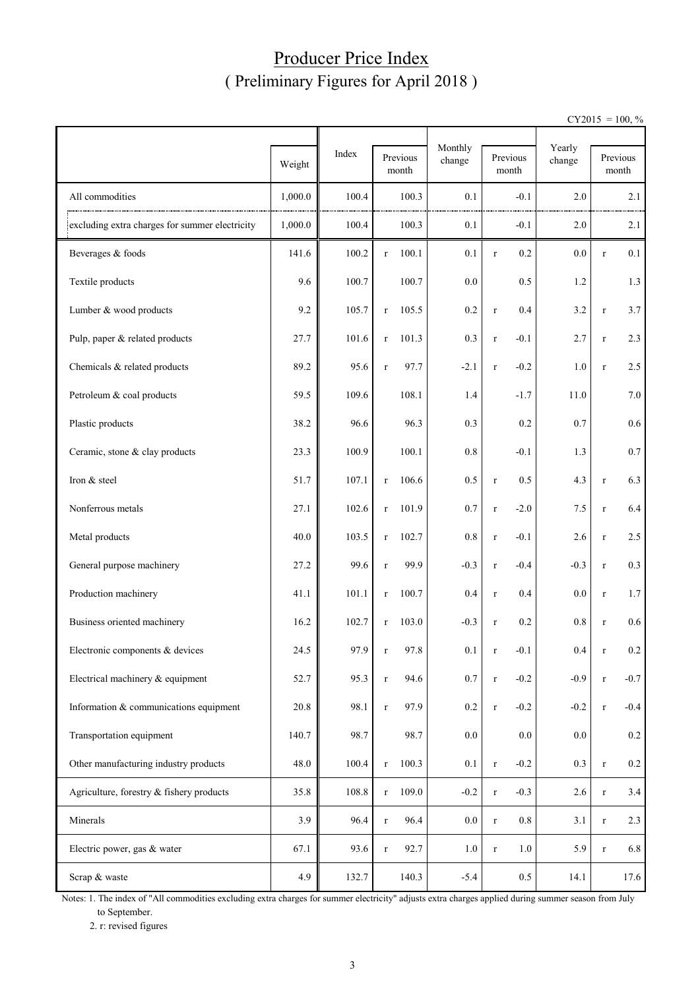## Producer Price Index ( Preliminary Figures for April 2018 )

 $CY2015 = 100, \%$ 

|                                                | Weight  | Index | Previous<br>month     | Monthly<br>change | Previous<br>month     | Yearly<br>change |             | Previous<br>month |
|------------------------------------------------|---------|-------|-----------------------|-------------------|-----------------------|------------------|-------------|-------------------|
| All commodities                                | 1,000.0 | 100.4 | 100.3                 | 0.1               | $-0.1$                | 2.0              |             | 2.1               |
| excluding extra charges for summer electricity | 1,000.0 | 100.4 | 100.3                 | 0.1               | $-0.1$                | 2.0              |             | 2.1               |
| Beverages & foods                              | 141.6   | 100.2 | 100.1<br>$\mathbf r$  | 0.1               | 0.2<br>$\mathbf r$    | $0.0\,$          | $\mathbf r$ | 0.1               |
| Textile products                               | 9.6     | 100.7 | 100.7                 | 0.0               | 0.5                   | 1.2              |             | 1.3               |
| Lumber & wood products                         | 9.2     | 105.7 | 105.5<br>$\mathbf r$  | 0.2               | 0.4<br>$\mathbf r$    | 3.2              | $\mathbf r$ | 3.7               |
| Pulp, paper & related products                 | 27.7    | 101.6 | 101.3<br>$\mathbf r$  | 0.3               | $-0.1$<br>$\mathbf r$ | 2.7              | $\mathbf r$ | 2.3               |
| Chemicals & related products                   | 89.2    | 95.6  | 97.7<br>$\mathbf r$   | $-2.1$            | $-0.2$<br>$\mathbf r$ | 1.0              | $\mathbf r$ | 2.5               |
| Petroleum & coal products                      | 59.5    | 109.6 | 108.1                 | 1.4               | $-1.7$                | 11.0             |             | 7.0               |
| Plastic products                               | 38.2    | 96.6  | 96.3                  | 0.3               | 0.2                   | 0.7              |             | 0.6               |
| Ceramic, stone & clay products                 | 23.3    | 100.9 | 100.1                 | 0.8               | $-0.1$                | 1.3              |             | 0.7               |
| Iron & steel                                   | 51.7    | 107.1 | 106.6<br>$\mathbf r$  | 0.5               | 0.5<br>$\mathbf r$    | 4.3              | $\mathbf r$ | 6.3               |
| Nonferrous metals                              | 27.1    | 102.6 | 101.9<br>$\Gamma$     | 0.7               | $-2.0$<br>$\mathbf r$ | 7.5              | $\mathbf r$ | 6.4               |
| Metal products                                 | 40.0    | 103.5 | 102.7<br>$\mathbf r$  | 0.8               | $-0.1$<br>$\mathbf r$ | 2.6              | $\mathbf r$ | 2.5               |
| General purpose machinery                      | 27.2    | 99.6  | 99.9<br>$\mathbf r$   | $-0.3$            | $-0.4$<br>$\mathbf r$ | $-0.3$           | $\mathbf r$ | 0.3               |
| Production machinery                           | 41.1    | 101.1 | 100.7<br>$\mathbf r$  | 0.4               | 0.4<br>$\mathbf r$    | 0.0              | $\mathbf r$ | 1.7               |
| Business oriented machinery                    | 16.2    | 102.7 | 103.0<br>$\mathbf{r}$ | $-0.3$            | 0.2<br>$\mathbf r$    | 0.8              | $\mathbf r$ | 0.6               |
| Electronic components & devices                | 24.5    | 97.9  | 97.8<br>r.            | 0.1               | $-0.1$<br>r           | 0.4              | r           | 0.2               |
| Electrical machinery & equipment               | 52.7    | 95.3  | 94.6<br>$\mathbf r$   | 0.7               | $-0.2$<br>$\, r$      | $-0.9$           | $\mathbf r$ | $-0.7$            |
| Information & communications equipment         | 20.8    | 98.1  | 97.9<br>$\mathbf r$   | 0.2               | $-0.2$<br>$\mathbf r$ | $-0.2$           | $\mathbf r$ | $-0.4$            |
| Transportation equipment                       | 140.7   | 98.7  | 98.7                  | $0.0\,$           | 0.0                   | 0.0              |             | $0.2\,$           |
| Other manufacturing industry products          | 48.0    | 100.4 | 100.3<br>$\mathbf r$  | 0.1               | $-0.2$<br>$\mathbf r$ | $0.3\,$          | $\mathbf r$ | $0.2\,$           |
| Agriculture, forestry & fishery products       | 35.8    | 108.8 | 109.0<br>$\mathbf r$  | $-0.2$            | $-0.3$<br>$\mathbf r$ | 2.6              | $\mathbf r$ | 3.4               |
| Minerals                                       | 3.9     | 96.4  | 96.4<br>$\mathbf r$   | $0.0\,$           | 0.8<br>$\mathbf r$    | 3.1              | $\mathbf r$ | 2.3               |
| Electric power, gas & water                    | 67.1    | 93.6  | 92.7<br>$\mathbf r$   | $1.0\,$           | 1.0<br>$\mathbf r$    | 5.9              | $\mathbf r$ | 6.8               |
| Scrap & waste                                  | 4.9     | 132.7 | 140.3                 | $-5.4$            | $0.5\,$               | 14.1             |             | 17.6              |

Notes: 1. The index of "All commodities excluding extra charges for summer electricity" adjusts extra charges applied during summer season from July to September.

2. r: revised figures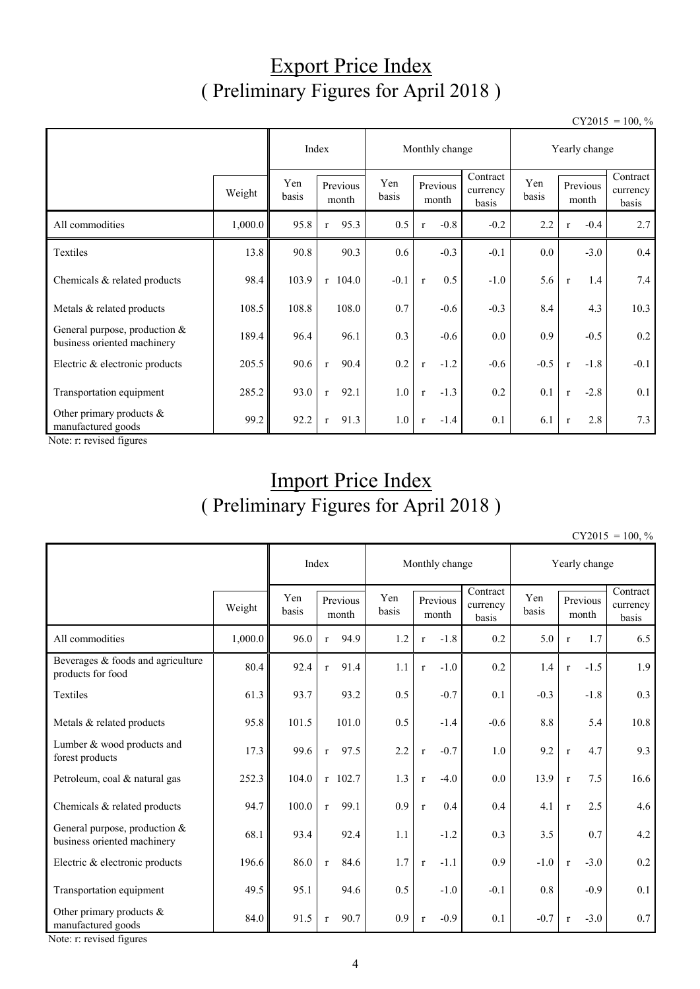## Export Price Index ( Preliminary Figures for April 2018 )

 $CY2015 = 100, \%$ 

|                                                                |         | Index        |                      | Monthly change |                        | Yearly change                 |              |              |                   |                               |
|----------------------------------------------------------------|---------|--------------|----------------------|----------------|------------------------|-------------------------------|--------------|--------------|-------------------|-------------------------------|
|                                                                | Weight  | Yen<br>basis | Previous<br>month    | Yen<br>basis   | Previous<br>month      | Contract<br>currency<br>basis | Yen<br>basis |              | Previous<br>month | Contract<br>currency<br>basis |
| All commodities                                                | 1,000.0 | 95.8         | 95.3<br>$\mathbf{r}$ | 0.5            | $-0.8$<br>$\mathbf{r}$ | $-0.2$                        | 2.2          | $\mathbf{r}$ | $-0.4$            | 2.7                           |
| Textiles                                                       | 13.8    | 90.8         | 90.3                 | 0.6            | $-0.3$                 | $-0.1$                        | $0.0\,$      |              | $-3.0$            | 0.4                           |
| Chemicals & related products                                   | 98.4    | 103.9        | $r$ 104.0            | $-0.1$         | 0.5<br>$\mathbf{r}$    | $-1.0$                        | 5.6          | $\mathbf{r}$ | 1.4               | 7.4                           |
| Metals & related products                                      | 108.5   | 108.8        | 108.0                | 0.7            | $-0.6$                 | $-0.3$                        | 8.4          |              | 4.3               | 10.3                          |
| General purpose, production $&$<br>business oriented machinery | 189.4   | 96.4         | 96.1                 | 0.3            | $-0.6$                 | $0.0\,$                       | 0.9          |              | $-0.5$            | 0.2                           |
| Electric & electronic products                                 | 205.5   | 90.6         | 90.4<br>$\mathbf{r}$ | 0.2            | $-1.2$<br>$\mathbf{r}$ | $-0.6$                        | $-0.5$       | $\mathbf{r}$ | $-1.8$            | $-0.1$                        |
| Transportation equipment                                       | 285.2   | 93.0         | 92.1<br>$\mathbf{r}$ | 1.0            | $-1.3$<br>$\mathbf{r}$ | 0.2                           | 0.1          | $\mathbf r$  | $-2.8$            | 0.1                           |
| Other primary products &<br>manufactured goods                 | 99.2    | 92.2         | 91.3<br>$\mathbf{r}$ | 1.0            | $-1.4$<br>$\mathbf{r}$ | 0.1                           | 6.1          | $\mathbf{r}$ | 2.8               | 7.3                           |

Note: r: revised figures

## Import Price Index ( Preliminary Figures for April 2018 )

 $CY2015 = 100, \%$ 

|                                                                |         | Index        |                         |              | Monthly change |                   |                               |              | Yearly change |                   |                                                   |
|----------------------------------------------------------------|---------|--------------|-------------------------|--------------|----------------|-------------------|-------------------------------|--------------|---------------|-------------------|---------------------------------------------------|
|                                                                | Weight  | Yen<br>basis | Previous<br>month       | Yen<br>basis |                | Previous<br>month | Contract<br>currency<br>basis | Yen<br>basis |               | Previous<br>month | $\overline{\text{Contract}}$<br>currency<br>basis |
| All commodities                                                | 1,000.0 | 96.0         | 94.9<br>$r_{\parallel}$ | 1.2          | $\mathbf{r}$   | $-1.8$            | 0.2                           | 5.0          | $\mathbf{r}$  | 1.7               | 6.5                                               |
| Beverages & foods and agriculture<br>products for food         | 80.4    | 92.4         | 91.4<br>$\mathbf{r}$    | 1.1          | $\mathbf{r}$   | $-1.0$            | 0.2                           | 1.4          | $\mathbf r$   | $-1.5$            | 1.9                                               |
| Textiles                                                       | 61.3    | 93.7         | 93.2                    | 0.5          |                | $-0.7$            | 0.1                           | $-0.3$       |               | $-1.8$            | 0.3                                               |
| Metals & related products                                      | 95.8    | 101.5        | 101.0                   | 0.5          |                | $-1.4$            | $-0.6$                        | 8.8          |               | 5.4               | 10.8                                              |
| Lumber & wood products and<br>forest products                  | 17.3    | 99.6         | 97.5<br>$\mathbf{r}$    | 2.2          | $\mathbf{r}$   | $-0.7$            | 1.0                           | 9.2          | $\mathbf r$   | 4.7               | 9.3                                               |
| Petroleum, coal & natural gas                                  | 252.3   | 104.0        | $r$ 102.7               | 1.3          | $\mathbf{r}$   | $-4.0$            | 0.0                           | 13.9         | $\mathbf r$   | 7.5               | 16.6                                              |
| Chemicals & related products                                   | 94.7    | 100.0        | 99.1<br>$\mathbf{r}$    | 0.9          | $\mathbf{r}$   | 0.4               | 0.4                           | 4.1          | $\mathbf{r}$  | 2.5               | 4.6                                               |
| General purpose, production $&$<br>business oriented machinery | 68.1    | 93.4         | 92.4                    | 1.1          |                | $-1.2$            | 0.3                           | 3.5          |               | 0.7               | 4.2                                               |
| Electric & electronic products                                 | 196.6   | 86.0         | 84.6<br>$\mathbf{r}$    | 1.7          | $\mathbf{r}$   | $-1.1$            | 0.9                           | $-1.0$       | $\mathbf{r}$  | $-3.0$            | 0.2                                               |
| Transportation equipment                                       | 49.5    | 95.1         | 94.6                    | 0.5          |                | $-1.0$            | $-0.1$                        | 0.8          |               | $-0.9$            | 0.1                                               |
| Other primary products $\&$<br>manufactured goods              | 84.0    | 91.5         | 90.7<br>$\mathbf{r}$    | 0.9          | $\mathbf{r}$   | $-0.9$            | 0.1                           | $-0.7$       | $\mathbf{r}$  | $-3.0$            | 0.7                                               |

Note: r: revised figures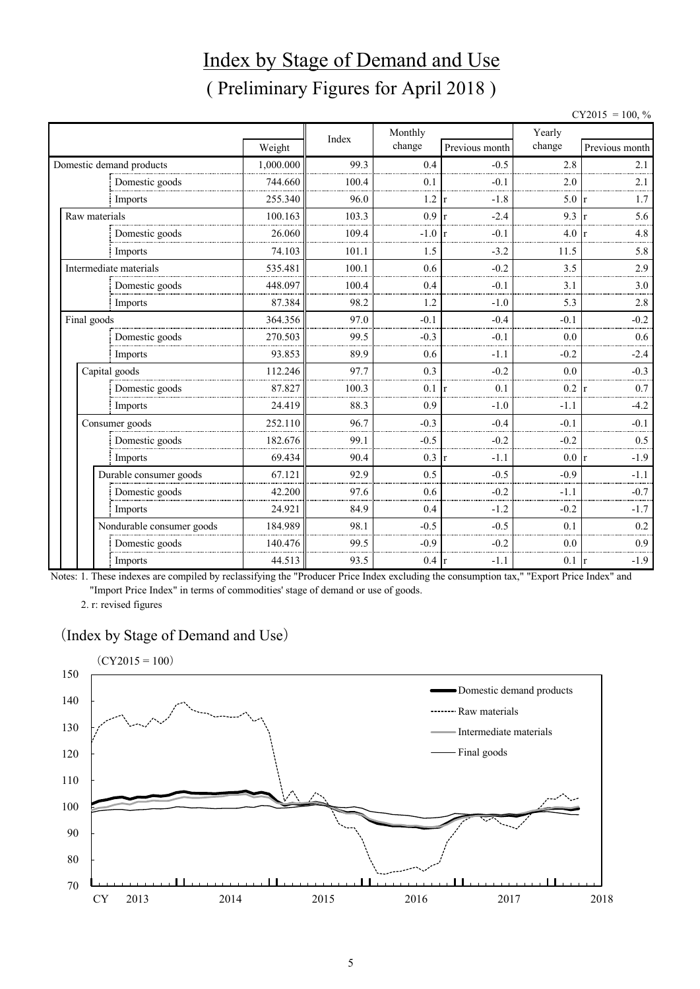# Index by Stage of Demand and Use ( Preliminary Figures for April 2018 )

 $CY2015 = 100, \%$ 

|               |                           |           | Index | Monthly         |                        | Yearly |                        |
|---------------|---------------------------|-----------|-------|-----------------|------------------------|--------|------------------------|
|               |                           | Weight    |       | change          | Previous month         | change | Previous month         |
|               | Domestic demand products  | 1,000.000 | 99.3  | 0.4             | $-0.5$                 | 2.8    | 2.1                    |
|               | Domestic goods            | 744.660   | 100.4 | 0.1             | $-0.1$                 | 2.0    | 2.1                    |
|               | Imports                   | 255.340   | 96.0  | 1.2             | $-1.8$                 | 5.0    | 1.7                    |
| Raw materials |                           | 100.163   | 103.3 | 0.9             | $-2.4$                 | 9.3    | 5.6                    |
|               | Domestic goods            | 26.060    | 109.4 | $-1.0$          | $-0.1$                 | 4.0    | 4.8                    |
|               | Imports                   | 74.103    | 101.1 | 1.5             | $-3.2$                 | 11.5   | 5.8                    |
|               | Intermediate materials    | 535.481   | 100.1 | 0.6             | $-0.2$                 | 3.5    | 2.9                    |
|               | Domestic goods            | 448.097   | 100.4 | 0.4             | $-0.1$                 | 3.1    | 3.0                    |
|               | Imports                   | 87.384    | 98.2  | 1.2             | $-1.0$                 | 5.3    | 2.8                    |
| Final goods   |                           | 364.356   | 97.0  | $-0.1$          | $-0.4$                 | $-0.1$ | $-0.2$                 |
|               | Domestic goods            | 270.503   | 99.5  | $-0.3$          | $-0.1$                 | 0.0    | 0.6                    |
|               | Imports                   | 93.853    | 89.9  | 0.6             | $-1.1$                 | $-0.2$ | $-2.4$                 |
|               | Capital goods             | 112.246   | 97.7  | 0.3             | $-0.2$                 | 0.0    | $-0.3$                 |
|               | Domestic goods            | 87.827    | 100.3 | 0.1             | 0.1                    | 0.2    | 0.7                    |
|               | Imports                   | 24.419    | 88.3  | 0.9             | $-1.0$                 | $-1.1$ | $-4.2$                 |
|               | Consumer goods            | 252.110   | 96.7  | $-0.3$          | $-0.4$                 | $-0.1$ | $-0.1$                 |
|               | Domestic goods            | 182.676   | 99.1  | $-0.5$          | $-0.2$                 | $-0.2$ | 0.5                    |
|               | Imports                   | 69.434    | 90.4  | 0.3             | $-1.1$<br>$\mathbf{r}$ | 0.0    | $-1.9$<br><b>r</b>     |
|               | Durable consumer goods    | 67.121    | 92.9  | 0.5             | $-0.5$                 | $-0.9$ | $-1.1$                 |
|               | Domestic goods            | 42.200    | 97.6  | 0.6             | $-0.2$                 | $-1.1$ | $-0.7$                 |
|               | Imports                   | 24.921    | 84.9  | 0.4             | $-1.2$                 | $-0.2$ | $-1.7$                 |
|               | Nondurable consumer goods | 184.989   | 98.1  | $-0.5$          | $-0.5$                 | 0.1    | 0.2                    |
|               | Domestic goods            | 140.476   | 99.5  | $-0.9$          | $-0.2$                 | 0.0    | 0.9                    |
|               | Imports                   | 44.513    | 93.5  | $0.4 \text{ r}$ | $-1.1$                 | 0.1    | $-1.9$<br>$\mathbf{r}$ |

Notes: 1. These indexes are compiled by reclassifying the "Producer Price Index excluding the consumption tax," "Export Price Index" and "Import Price Index" in terms of commodities' stage of demand or use of goods.

2. r: revised figures

#### (Index by Stage of Demand and Use)

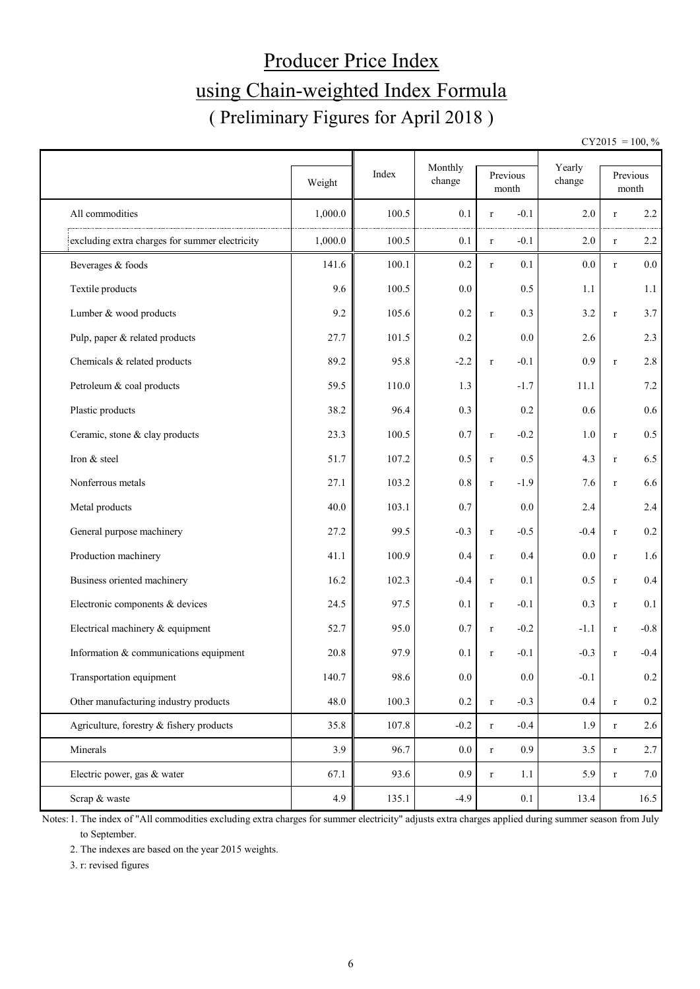# Producer Price Index using Chain-weighted Index Formula ( Preliminary Figures for April 2018 )

 $CY2015 = 100, \%$ 

|                                                | Weight  | Index | Monthly<br>change | Previous<br>month |                  | Yearly<br>change |             | Previous<br>$\mbox{month}$ |
|------------------------------------------------|---------|-------|-------------------|-------------------|------------------|------------------|-------------|----------------------------|
| All commodities                                | 1,000.0 | 100.5 | 0.1               | $\mathbf r$       | $-0.1$           | 2.0              | $\mathbf r$ | $2.2\,$                    |
| excluding extra charges for summer electricity | 1,000.0 | 100.5 | 0.1               | $\mathbf r$       | $-0.1$           | 2.0              | $\mathbf r$ | 2.2                        |
| Beverages & foods                              | 141.6   | 100.1 | 0.2               | $\mathbf r$       | 0.1              | 0.0              | r           | 0.0                        |
| Textile products                               | 9.6     | 100.5 | 0.0               |                   | 0.5              | 1.1              |             | 1.1                        |
| Lumber & wood products                         | 9.2     | 105.6 | 0.2               | $\mathbf r$       | 0.3              | 3.2              | $\mathbf r$ | 3.7                        |
| Pulp, paper & related products                 | 27.7    | 101.5 | 0.2               |                   | 0.0              | 2.6              |             | 2.3                        |
| Chemicals & related products                   | 89.2    | 95.8  | $-2.2$            | $\mathbf r$       | $-0.1$           | 0.9              | $\mathbf r$ | $2.8\,$                    |
| Petroleum & coal products                      | 59.5    | 110.0 | 1.3               |                   | $-1.7$           | 11.1             |             | 7.2                        |
| Plastic products                               | 38.2    | 96.4  | 0.3               |                   | 0.2              | 0.6              |             | 0.6                        |
| Ceramic, stone & clay products                 | 23.3    | 100.5 | 0.7               | $\mathbf r$       | $-0.2$           | 1.0              | $\mathbf r$ | 0.5                        |
| Iron & steel                                   | 51.7    | 107.2 | 0.5               | $\mathbf r$       | 0.5              | 4.3              | $\mathbf r$ | 6.5                        |
| Nonferrous metals                              | 27.1    | 103.2 | $0.8\,$           | $\mathbf r$       | $-1.9$           | 7.6              | $\mathbf r$ | 6.6                        |
| Metal products                                 | 40.0    | 103.1 | 0.7               |                   | 0.0              | 2.4              |             | 2.4                        |
| General purpose machinery                      | 27.2    | 99.5  | $-0.3$            | $\mathbf r$       | $-0.5$           | $-0.4$           | $\mathbf r$ | $0.2\,$                    |
| Production machinery                           | 41.1    | 100.9 | 0.4               | $\mathbf r$       | 0.4              | 0.0              | $\mathbf r$ | 1.6                        |
| Business oriented machinery                    | 16.2    | 102.3 | $-0.4$            | $\mathbf r$       | 0.1              | 0.5              | $\mathbf r$ | 0.4                        |
| Electronic components & devices                | 24.5    | 97.5  | 0.1               | $\mathbf r$       | $-0.1$           | 0.3              | $\mathbf r$ | 0.1                        |
| Electrical machinery & equipment               | 52.7    | 95.0  | 0.7               | $\mathbf r$       | $-0.2$           | $-1.1$           | $\mathbf r$ | $-0.8$                     |
| Information & communications equipment         | 20.8    | 97.9  | 0.1               | $\mathbf r$       | $-0.1$           | $-0.3$           | r           | $-0.4$                     |
| Transportation equipment                       | 140.7   | 98.6  | 0.0               |                   | 0.0              | $-0.1$           |             | 0.2                        |
| Other manufacturing industry products          | 48.0    | 100.3 | $0.2\,$           | $\mathbf r$       | $-0.3$           | 0.4              | $\mathbf r$ | $0.2\,$                    |
| Agriculture, forestry & fishery products       | 35.8    | 107.8 | $-0.2$            | $\mathbf r$       | $-0.4$           | 1.9              | $\mathbf r$ | 2.6                        |
| Minerals                                       | 3.9     | 96.7  | $0.0\,$           | $\mathbf r$       | 0.9 <sub>0</sub> | 3.5              | $\mathbf r$ | 2.7                        |
| Electric power, gas & water                    | 67.1    | 93.6  | 0.9               | $\mathbf r$       | 1.1              | 5.9              | $\mathbf r$ | 7.0                        |
| Scrap & waste                                  | 4.9     | 135.1 | $-4.9$            |                   | 0.1              | 13.4             |             | 16.5                       |

Notes: 1. The index of "All commodities excluding extra charges for summer electricity" adjusts extra charges applied during summer season from July to September.

2. The indexes are based on the year 2015 weights.

3. r: revised figures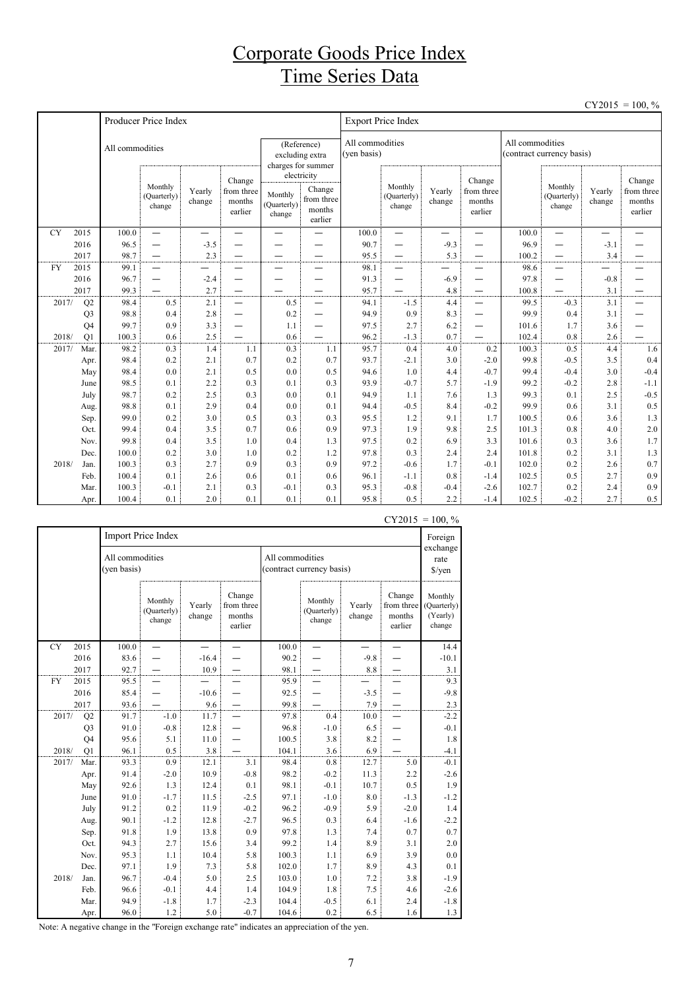## Corporate Goods Price Index Time Series Data

|           |                      |                 |                                  |                  |                                           |                                  |                                                                                                                                                       |              |                                  |                  |                                           |                |                                  |                  | $CY2015 = 100, \%$                        |
|-----------|----------------------|-----------------|----------------------------------|------------------|-------------------------------------------|----------------------------------|-------------------------------------------------------------------------------------------------------------------------------------------------------|--------------|----------------------------------|------------------|-------------------------------------------|----------------|----------------------------------|------------------|-------------------------------------------|
|           |                      |                 | Producer Price Index             |                  |                                           |                                  |                                                                                                                                                       |              | <b>Export Price Index</b>        |                  |                                           |                |                                  |                  |                                           |
|           |                      | All commodities |                                  |                  |                                           |                                  | All commodities<br>All commodities<br>(Reference)<br>(yen basis)<br>(contract currency basis)<br>excluding extra<br>charges for summer<br>electricity |              |                                  |                  |                                           |                |                                  |                  |                                           |
|           |                      |                 | Monthly<br>(Quarterly)<br>change | Yearly<br>change | Change<br>from three<br>months<br>earlier | Monthly<br>(Quarterly)<br>change | Change<br>from three<br>months<br>earlier                                                                                                             |              | Monthly<br>(Quarterly)<br>change | Yearly<br>change | Change<br>from three<br>months<br>earlier |                | Monthly<br>(Quarterly)<br>change | Yearly<br>change | Change<br>from three<br>months<br>earlier |
| <b>CY</b> | 2015                 | 100.0           | $\equiv$                         | —                |                                           | —                                |                                                                                                                                                       | 100.0        | —                                | —                | —                                         | 100.0          | $\overline{\phantom{0}}$         | —                |                                           |
|           | 2016                 | 96.5            | —                                | $-3.5$           |                                           |                                  |                                                                                                                                                       | 90.7         |                                  | $-9.3$           |                                           | 96.9           | —                                | $-3.1$           |                                           |
|           | 2017                 | 98.7            | $\qquad \qquad -$                | 2.3              | $\overbrace{\phantom{123221111}}$         | —                                | —                                                                                                                                                     | 95.5         | $\overline{\phantom{0}}$         | 5.3              | $\qquad \qquad$                           | 100.2          | —                                | 3.4              |                                           |
| <b>FY</b> | 2015                 | 99.1            | $\overbrace{\phantom{1232211}}$  |                  | —                                         | —                                | $\overline{\phantom{0}}$                                                                                                                              | 98.1         | —                                |                  | —                                         | 98.6           | —                                | —<br>—           |                                           |
|           | 2016                 | 96.7            | $\overbrace{\phantom{1232211}}$  | $-2.4$           | —                                         |                                  | $\overline{\phantom{0}}$                                                                                                                              | 91.3         | —                                | $-6.9$           | —                                         | 97.8           | —                                | $-0.8$           |                                           |
|           | 2017                 | 99.3            |                                  | 2.7              | $\overline{\phantom{0}}$                  |                                  | $\overline{\phantom{0}}$                                                                                                                              | 95.7         | $\overline{\phantom{0}}$         | 4.8              | $\overline{\phantom{0}}$                  | 100.8          | $\overline{\phantom{0}}$         | 3.1              | —                                         |
| 2017/     | Q2                   | 98.4            | 0.5                              | 2.1              | $\equiv$                                  | 0.5                              | $\equiv$                                                                                                                                              | 94.1         | $-1.5$                           | 4.4              | $\overline{\phantom{0}}$                  | 99.5<br>99.9   | $-0.3$                           | 3.1              | $\overline{\phantom{0}}$                  |
|           | Q <sub>3</sub>       | 98.8<br>99.7    | 0.4                              | 2.8              | $\overline{\phantom{0}}$                  | 0.2                              | $\overline{\phantom{0}}$                                                                                                                              | 94.9         | 0.9                              | 8.3              | $\overline{\phantom{0}}$                  |                | 0.4                              | 3.1              |                                           |
| 2018/     | Q <sub>4</sub><br>Q1 | 100.3           | 0.9<br>0.6                       | 3.3<br>2.5       | —                                         | 1.1<br>0.6                       | $\overline{\phantom{0}}$                                                                                                                              | 97.5<br>96.2 | 2.7<br>$-1.3$                    | 6.2<br>0.7       | —                                         | 101.6<br>102.4 | 1.7<br>0.8                       | 3.6<br>2.6       |                                           |
| 2017/     | Mar.                 | 98.2            | 0.3                              | 1.4              | 1.1                                       | 0.3                              | 1.1                                                                                                                                                   | 95.7         | 0.4                              | 4.0              | 0.2                                       | 100.3          | 0.5                              | 4.4              | 1.6                                       |
|           | Apr.                 | 98.4            | 0.2                              | 2.1              | 0.7                                       | 0.2                              | 0.7                                                                                                                                                   | 93.7         | $-2.1$                           | 3.0              | $-2.0$                                    | 99.8           | $-0.5$                           | 3.5              | 0.4                                       |
|           | May                  | 98.4            | 0.0                              | 2.1              | 0.5                                       | 0.0                              | 0.5                                                                                                                                                   | 94.6         | 1.0                              | 4.4              | $-0.7$                                    | 99.4           | $-0.4$                           | 3.0              | $-0.4$                                    |
|           | June                 | 98.5            | 0.1                              | 2.2              | 0.3                                       | 0.1                              | 0.3                                                                                                                                                   | 93.9         | $-0.7$                           | 5.7              | $-1.9$                                    | 99.2           | $-0.2$                           | 2.8              | $-1.1$                                    |
|           | July                 | 98.7            | 0.2                              | 2.5              | 0.3                                       | 0.0                              | 0.1                                                                                                                                                   | 94.9         | 1.1                              | 7.6              | 1.3                                       | 99.3           | 0.1                              | 2.5              | $-0.5$                                    |
|           | Aug.                 | 98.8            | 0.1                              | 2.9              | 0.4                                       | 0.0                              | 0.1                                                                                                                                                   | 94.4         | $-0.5$                           | 8.4              | $-0.2$                                    | 99.9           | 0.6                              | 3.1              | 0.5                                       |
|           | Sep.                 | 99.0            | 0.2                              | 3.0              | 0.5                                       | 0.3                              | 0.3                                                                                                                                                   | 95.5         | 1.2                              | 9.1              | 1.7                                       | 100.5          | 0.6                              | 3.6              | 1.3                                       |
|           | Oct.                 | 99.4            | 0.4                              | 3.5              | 0.7                                       | 0.6                              | 0.9                                                                                                                                                   | 97.3         | 1.9                              | 9.8              | 2.5                                       | 101.3          | 0.8                              | 4.0              | $2.0$                                     |
|           | Nov.                 | 99.8            | 0.4                              | 3.5              | 1.0                                       | 0.4                              | 1.3                                                                                                                                                   | 97.5         | 0.2                              | 6.9              | 3.3                                       | 101.6          | 0.3                              | 3.6              | 1.7                                       |
|           | Dec.                 | 100.0           | 0.2                              | 3.0              | 1.0                                       | 0.2                              | 1.2                                                                                                                                                   | 97.8         | 0.3                              | 2.4              | 2.4                                       | 101.8          | 0.2                              | 3.1              | 1.3                                       |
| 2018/     | Jan.                 | 100.3           | 0.3                              | 2.7              | 0.9                                       | 0.3                              | 0.9                                                                                                                                                   | 97.2         | $-0.6$                           | 1.7              | $-0.1$                                    | 102.0          | 0.2                              | 2.6              | 0.7                                       |
|           | Feb.                 | 100.4           | 0.1                              | 2.6              | 0.6                                       | 0.1                              | 0.6                                                                                                                                                   | 96.1         | $-1.1$                           | 0.8              | $-1.4$                                    | 102.5          | 0.5                              | 2.7              | 0.9                                       |
|           | Mar.                 | 100.3           | $-0.1$                           | 2.1              | 0.3                                       | $-0.1$                           | 0.3                                                                                                                                                   | 95.3         | $-0.8$                           | $-0.4$           | $-2.6$                                    | 102.7          | 0.2                              | 2.4              | 0.9                                       |
|           | Apr.                 | 100.4           | 0.1                              | 2.0              | 0.1                                       | 0.1                              | 0.1                                                                                                                                                   | 95.8         | 0.5                              | 2.2              | $-1.4$                                    | 102.5          | $-0.2$                           | 2.7              | 0.5                                       |

|           |                |                                | Import Price Index               |                  |                                           |       |                                                                                                                                                                                             | Foreign<br>exchange |        |                                              |  |  |  |
|-----------|----------------|--------------------------------|----------------------------------|------------------|-------------------------------------------|-------|---------------------------------------------------------------------------------------------------------------------------------------------------------------------------------------------|---------------------|--------|----------------------------------------------|--|--|--|
|           |                | All commodities<br>(yen basis) |                                  |                  |                                           |       | All commodities<br>(contract currency basis)<br>Change<br>Monthly<br>from three<br>Yearly<br>(Quarterly)<br>change<br>months<br>change<br>earlier<br>100.0<br>$-9.8$<br>90.2<br>8.8<br>98.1 |                     |        |                                              |  |  |  |
|           |                |                                | Monthly<br>(Quarterly)<br>change | Yearly<br>change | Change<br>from three<br>months<br>earlier |       |                                                                                                                                                                                             |                     |        | Monthly<br>(Quarterly)<br>(Yearly)<br>change |  |  |  |
| <b>CY</b> | 2015           | 100.0                          |                                  |                  |                                           |       |                                                                                                                                                                                             |                     |        | 14.4                                         |  |  |  |
|           | 2016           | 83.6                           |                                  | $-16.4$          |                                           |       |                                                                                                                                                                                             |                     |        | $-10.1$                                      |  |  |  |
|           | 2017           | 92.7                           |                                  | 10.9             |                                           |       |                                                                                                                                                                                             |                     |        | 3.1                                          |  |  |  |
| <b>FY</b> | 2015           | 95.5                           |                                  |                  |                                           | 95.9  |                                                                                                                                                                                             |                     |        | 9.3                                          |  |  |  |
|           | 2016           | 85.4                           |                                  | $-10.6$          |                                           | 92.5  |                                                                                                                                                                                             | $-3.5$              |        | $-9.8$                                       |  |  |  |
|           | 2017           | 93.6                           |                                  | 9.6              |                                           | 99.8  |                                                                                                                                                                                             | 7.9                 |        | $2.3\,$                                      |  |  |  |
| 2017/     | Q2             | 91.7                           | $-1.0$                           | 11.7             |                                           | 97.8  | 0.4                                                                                                                                                                                         | 10.0                |        | $-2.2$                                       |  |  |  |
|           | Q <sub>3</sub> | 91.0                           | $-0.8$                           | 12.8             |                                           | 96.8  | $-1.0$                                                                                                                                                                                      | 6.5                 |        | $-0.1$                                       |  |  |  |
|           | Q4             | 95.6                           | 5.1                              | 11.0             |                                           | 100.5 | 3.8                                                                                                                                                                                         | 8.2                 |        | 1.8                                          |  |  |  |
| 2018/     | Q1             | 96.1                           | 0.5                              | 3.8              |                                           | 104.1 | 3.6                                                                                                                                                                                         | 6.9                 |        | $-4.1$                                       |  |  |  |
| 2017/     | Mar.           | 93.3                           | 0.9                              | 12.1             | 3.1                                       | 98.4  | 0.8                                                                                                                                                                                         | 12.7                | 5.0    | $-0.1$                                       |  |  |  |
|           | Apr.           | 91.4                           | $-2.0$                           | 10.9             | $-0.8$                                    | 98.2  | $-0.2$                                                                                                                                                                                      | 11.3                | 2.2    | $-2.6$                                       |  |  |  |
|           | May            | 92.6                           | 1.3                              | 12.4             | 0.1                                       | 98.1  | $-0.1$                                                                                                                                                                                      | 10.7                | 0.5    | 1.9                                          |  |  |  |
|           | June           | 91.0                           | $-1.7$                           | 11.5             | $-2.5$                                    | 97.1  | $-1.0$                                                                                                                                                                                      | $8.0\,$             | $-1.3$ | $-1.2$                                       |  |  |  |
|           | July           | 91.2                           | 0.2                              | 11.9             | $-0.2$                                    | 96.2  | $-0.9$                                                                                                                                                                                      | 5.9                 | $-2.0$ | 1.4                                          |  |  |  |
|           | Aug.           | 90.1                           | $-1.2$                           | 12.8             | $-2.7$                                    | 96.5  | 0.3                                                                                                                                                                                         | 6.4                 | $-1.6$ | $-2.2$                                       |  |  |  |
|           | Sep.           | 91.8                           | 1.9                              | 13.8             | 0.9                                       | 97.8  | 1.3                                                                                                                                                                                         | 7.4                 | 0.7    | 0.7                                          |  |  |  |
|           | Oct.           | 94.3                           | 2.7                              | 15.6             | 3.4                                       | 99.2  | 1.4                                                                                                                                                                                         | 8.9                 | 3.1    | 2.0                                          |  |  |  |
|           | Nov.           | 95.3                           | 1.1                              | 10.4             | 5.8                                       | 100.3 | 1.1                                                                                                                                                                                         | 6.9                 | 3.9    | $0.0\,$                                      |  |  |  |
|           | Dec.           | 97.1                           | 1.9                              | 7.3              | 5.8                                       | 102.0 | 1.7                                                                                                                                                                                         | 8.9                 | 4.3    | 0.1                                          |  |  |  |
| 2018/     | Jan.           | 96.7                           | $-0.4$                           | 5.0              | 2.5                                       | 103.0 | 1.0                                                                                                                                                                                         | 7.2                 | 3.8    | $-1.9$                                       |  |  |  |
|           | Feb.           | 96.6                           | $-0.1$                           | 4.4              | 1.4                                       | 104.9 | 1.8                                                                                                                                                                                         | 7.5                 | 4.6    | $-2.6$                                       |  |  |  |
|           | Mar.           | 94.9                           | $-1.8$                           | 1.7              | $-2.3$                                    | 104.4 | $-0.5$                                                                                                                                                                                      | 6.1                 | 2.4    | $-1.8$                                       |  |  |  |
|           | Apr.           | 96.0                           | 1.2                              | 5.0              | $-0.7$                                    | 104.6 | 0.2                                                                                                                                                                                         | 6.5                 | 1.6    | 1.3                                          |  |  |  |

 $CY2015 = 100, \%$ 

Note: A negative change in the "Foreign exchange rate" indicates an appreciation of the yen.